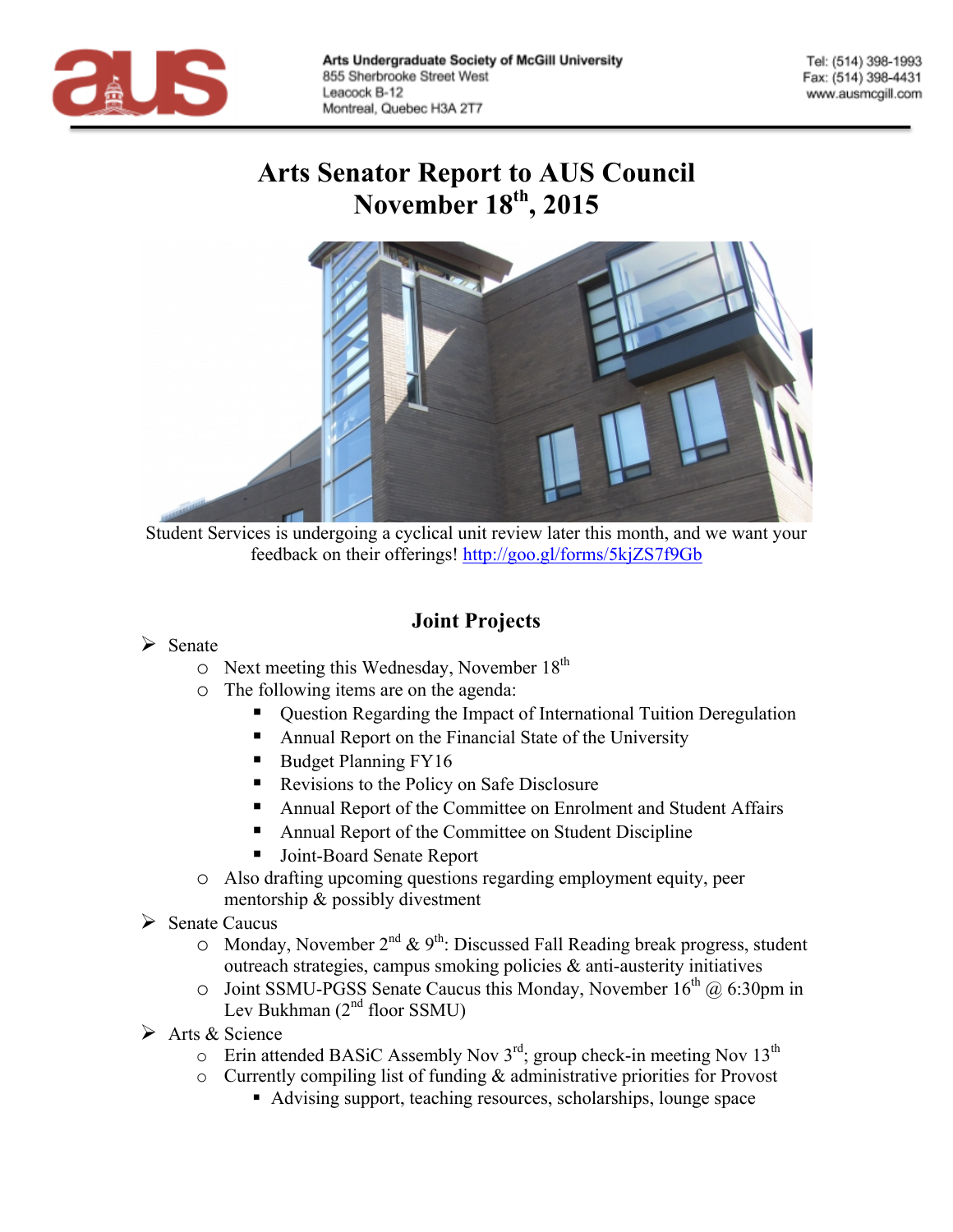

Tel: (514) 398-1993 Fax: (514) 398-4431 www.ausmcgill.com

# **Arts Senator Report to AUS Council November 18th , 2015**



Student Services is undergoing a cyclical unit review later this month, and we want your feedback on their offerings! http://goo.gl/forms/5kjZS7f9Gb

# **Joint Projects**

#### $\triangleright$  Senate

- $\circ$  Next meeting this Wednesday, November 18<sup>th</sup>
- o The following items are on the agenda:
	- § Question Regarding the Impact of International Tuition Deregulation
	- § Annual Report on the Financial State of the University
	- § Budget Planning FY16
	- Revisions to the Policy on Safe Disclosure
	- § Annual Report of the Committee on Enrolment and Student Affairs
	- Annual Report of the Committee on Student Discipline
	- Joint-Board Senate Report
- o Also drafting upcoming questions regarding employment equity, peer mentorship & possibly divestment
- $\triangleright$  Senate Caucus
	- $\circ$  Monday, November 2<sup>nd</sup> & 9<sup>th</sup>: Discussed Fall Reading break progress, student outreach strategies, campus smoking policies  $\&$  anti-austerity initiatives
	- $\circ$  Joint SSMU-PGSS Senate Caucus this Monday, November 16<sup>th</sup> @ 6:30pm in Lev Bukhman  $(2<sup>nd</sup>$  floor SSMU)
- $\triangleright$  Arts & Science
	- $\circ$  Erin attended BASiC Assembly Nov 3<sup>rd</sup>; group check-in meeting Nov 13<sup>th</sup>
	- o Currently compiling list of funding & administrative priorities for Provost
		- Advising support, teaching resources, scholarships, lounge space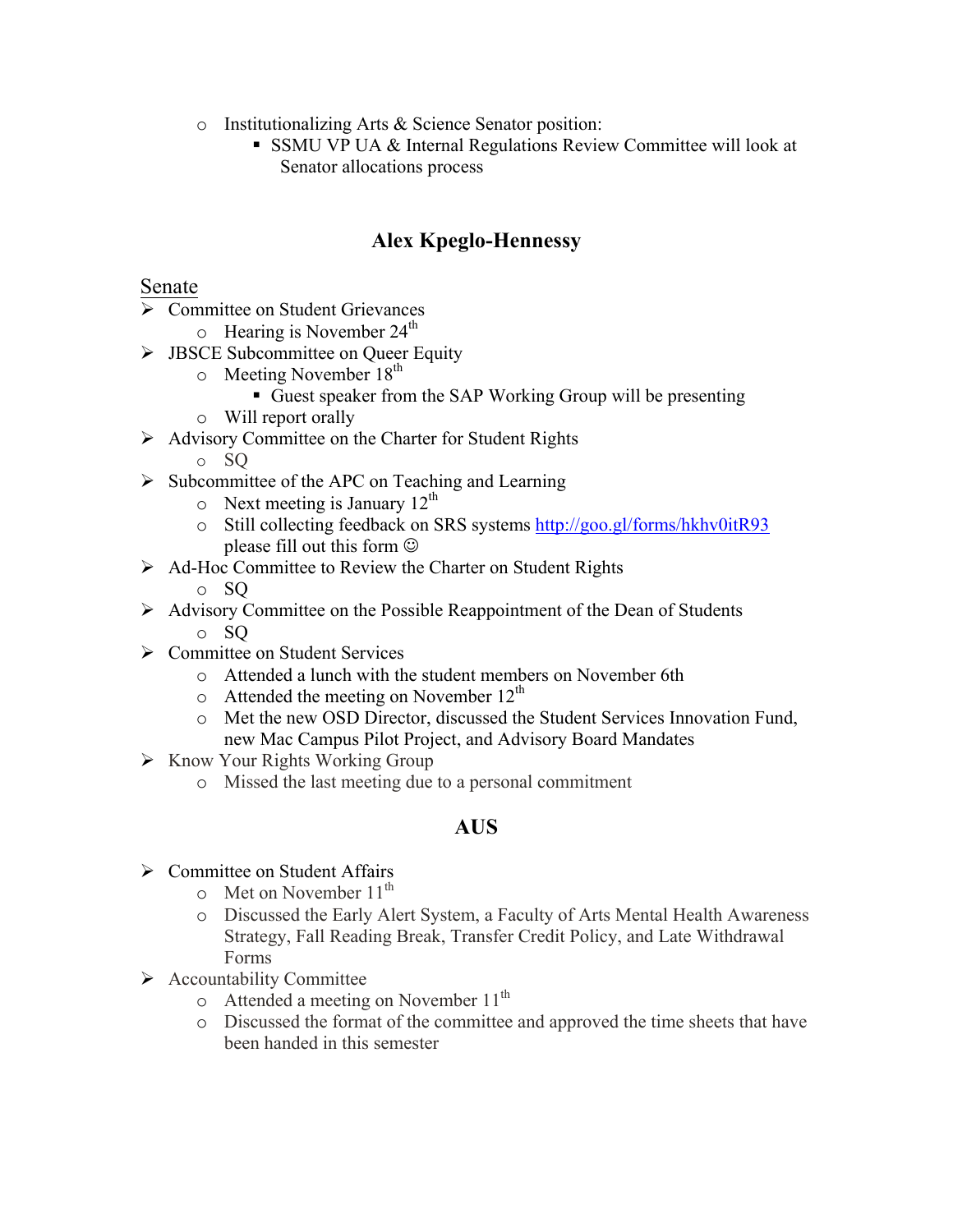- o Institutionalizing Arts & Science Senator position:
	- SSMU VP UA & Internal Regulations Review Committee will look at Senator allocations process

## **Alex Kpeglo-Hennessy**

#### Senate

- $\triangleright$  Committee on Student Grievances
	- $\circ$  Hearing is November 24<sup>th</sup>
- $\triangleright$  JBSCE Subcommittee on Queer Equity
	- $\circ$  Meeting November 18<sup>th</sup>
		- Guest speaker from the SAP Working Group will be presenting
	- o Will report orally
- $\triangleright$  Advisory Committee on the Charter for Student Rights

o SQ

- $\triangleright$  Subcommittee of the APC on Teaching and Learning
	- $\circ$  Next meeting is January 12<sup>th</sup>
	- o Still collecting feedback on SRS systems http://goo.gl/forms/hkhv0itR93 please fill out this form  $\odot$
- Ø Ad-Hoc Committee to Review the Charter on Student Rights
	- o SQ
- $\triangleright$  Advisory Committee on the Possible Reappointment of the Dean of Students
	- o SQ
- $\triangleright$  Committee on Student Services
	- o Attended a lunch with the student members on November 6th
	- $\circ$  Attended the meeting on November 12<sup>th</sup>
	- o Met the new OSD Director, discussed the Student Services Innovation Fund, new Mac Campus Pilot Project, and Advisory Board Mandates
- $\triangleright$  Know Your Rights Working Group
	- o Missed the last meeting due to a personal commitment

## **AUS**

- $\triangleright$  Committee on Student Affairs
	- o Met on November 11<sup>th</sup>
	- o Discussed the Early Alert System, a Faculty of Arts Mental Health Awareness Strategy, Fall Reading Break, Transfer Credit Policy, and Late Withdrawal Forms
- $\triangleright$  Accountability Committee
	- $\circ$  Attended a meeting on November 11<sup>th</sup>
	- o Discussed the format of the committee and approved the time sheets that have been handed in this semester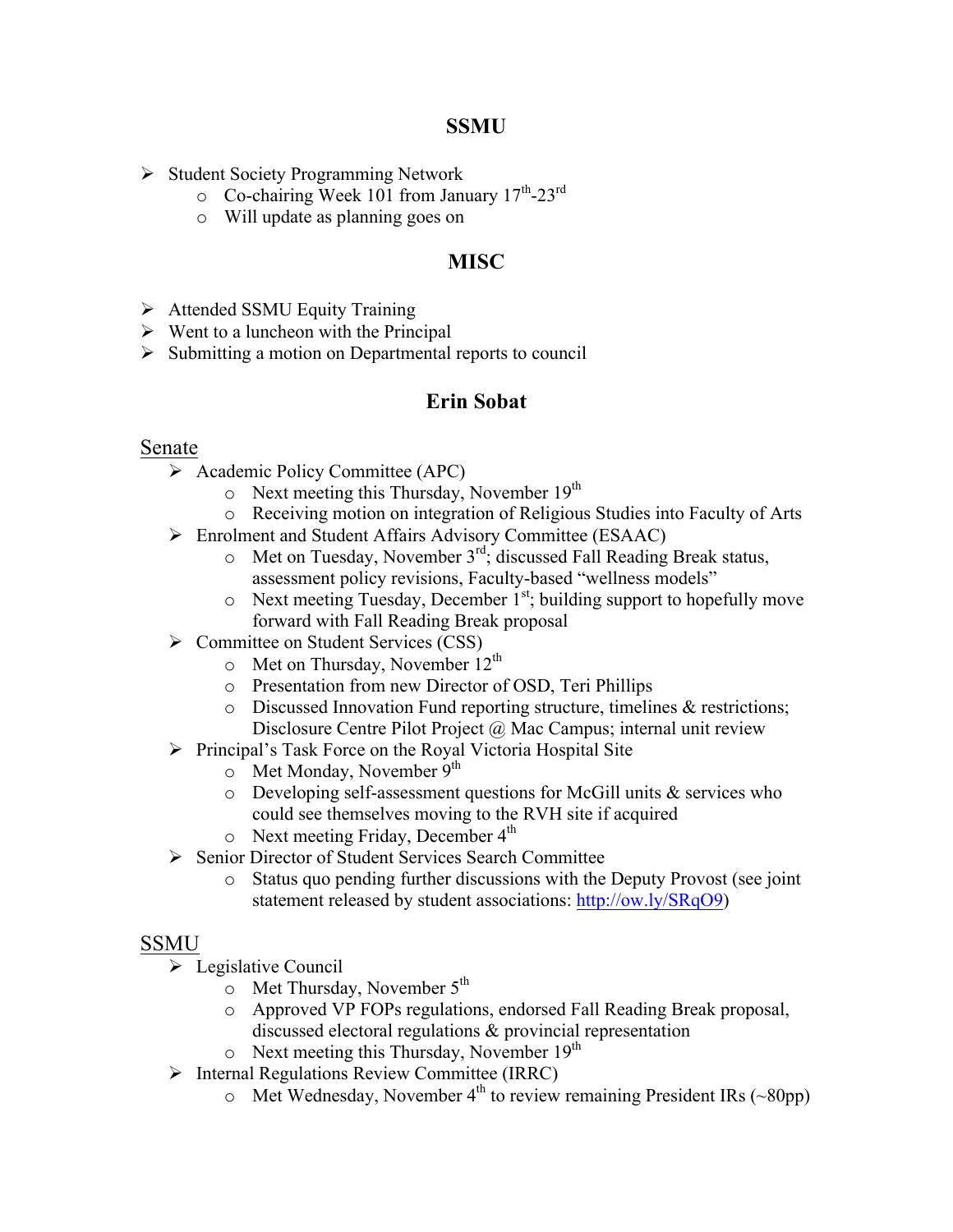## **SSMU**

- Ø Student Society Programming Network
	- $\circ$  Co-chairing Week 101 from January 17<sup>th</sup>-23<sup>rd</sup>
	- o Will update as planning goes on

### **MISC**

- $\triangleright$  Attended SSMU Equity Training
- $\triangleright$  Went to a luncheon with the Principal
- Ø Submitting a motion on Departmental reports to council

## **Erin Sobat**

#### Senate

- $\triangleright$  Academic Policy Committee (APC)
	- $\circ$  Next meeting this Thursday, November 19<sup>th</sup>
	- o Receiving motion on integration of Religious Studies into Faculty of Arts
- Ø Enrolment and Student Affairs Advisory Committee (ESAAC)
	- $\circ$  Met on Tuesday, November 3<sup>rd</sup>; discussed Fall Reading Break status, assessment policy revisions, Faculty-based "wellness models"
	- $\circ$  Next meeting Tuesday, December 1<sup>st</sup>; building support to hopefully move forward with Fall Reading Break proposal
- $\triangleright$  Committee on Student Services (CSS)
	- $\circ$  Met on Thursday, November 12<sup>th</sup>
	- o Presentation from new Director of OSD, Teri Phillips
	- o Discussed Innovation Fund reporting structure, timelines & restrictions; Disclosure Centre Pilot Project @ Mac Campus; internal unit review
- $\triangleright$  Principal's Task Force on the Royal Victoria Hospital Site
	- $\circ$  Met Monday, November 9<sup>th</sup>
	- $\circ$  Developing self-assessment questions for McGill units & services who could see themselves moving to the RVH site if acquired
	- $\circ$  Next meeting Friday, December 4<sup>th</sup>
- Ø Senior Director of Student Services Search Committee
	- o Status quo pending further discussions with the Deputy Provost (see joint statement released by student associations: http://ow.ly/SRqO9)

#### SSMU

- $\triangleright$  Legislative Council
	- $\circ$  Met Thursday, November 5<sup>th</sup>
	- o Approved VP FOPs regulations, endorsed Fall Reading Break proposal, discussed electoral regulations & provincial representation
	- $\circ$  Next meeting this Thursday, November 19<sup>th</sup>
- $\triangleright$  Internal Regulations Review Committee (IRRC)
	- $\circ$  Met Wednesday, November 4<sup>th</sup> to review remaining President IRs (~80pp)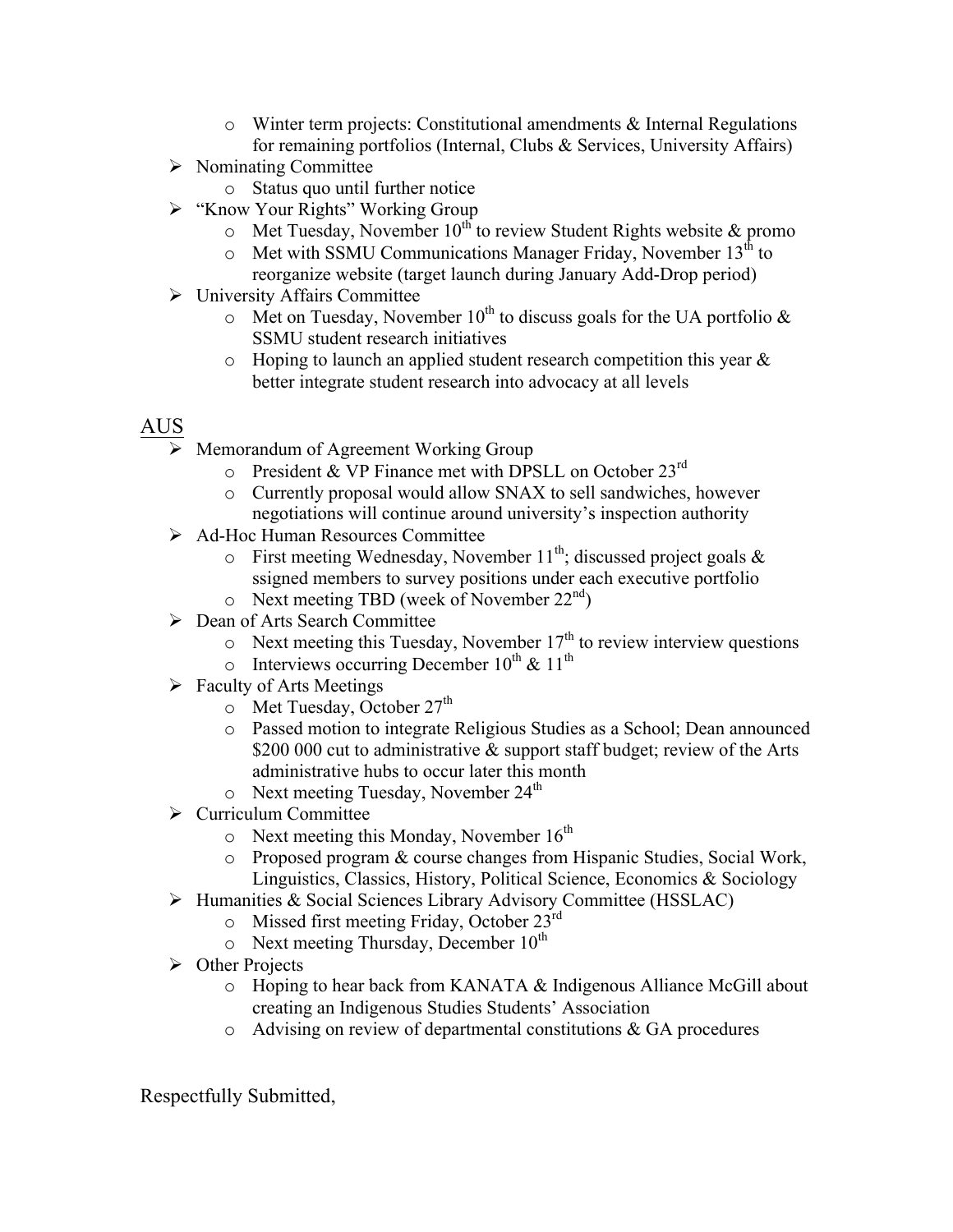- o Winter term projects: Constitutional amendments & Internal Regulations for remaining portfolios (Internal, Clubs & Services, University Affairs)
- $\triangleright$  Nominating Committee
	- o Status quo until further notice
- $\triangleright$  "Know Your Rights" Working Group
	- $\circ$  Met Tuesday, November 10<sup>th</sup> to review Student Rights website & promo
	- $\circ$  Met with SSMU Communications Manager Friday, November 13<sup>th</sup> to reorganize website (target launch during January Add-Drop period)
- $\triangleright$  University Affairs Committee
	- $\circ$  Met on Tuesday, November 10<sup>th</sup> to discuss goals for the UA portfolio & SSMU student research initiatives
	- $\circ$  Hoping to launch an applied student research competition this year & better integrate student research into advocacy at all levels

## AUS

- Ø Memorandum of Agreement Working Group
	- $\circ$  President & VP Finance met with DPSLL on October 23<sup>rd</sup>
	- o Currently proposal would allow SNAX to sell sandwiches, however negotiations will continue around university's inspection authority
- Ø Ad-Hoc Human Resources Committee
	- $\circ$  First meeting Wednesday, November 11<sup>th</sup>; discussed project goals & ssigned members to survey positions under each executive portfolio
	- $\circ$  Next meeting TBD (week of November 22<sup>nd</sup>)
- Ø Dean of Arts Search Committee
	- $\circ$  Next meeting this Tuesday, November 17<sup>th</sup> to review interview questions
	- o Interviews occurring December  $10^{th}$  &  $11^{th}$
- $\triangleright$  Faculty of Arts Meetings
	- $\circ$  Met Tuesday, October 27<sup>th</sup>
	- o Passed motion to integrate Religious Studies as a School; Dean announced \$200,000 cut to administrative & support staff budget; review of the Arts administrative hubs to occur later this month
	- $\circ$  Next meeting Tuesday, November 24<sup>th</sup>
- $\triangleright$  Curriculum Committee
	- $\circ$  Next meeting this Monday, November 16<sup>th</sup>
	- o Proposed program & course changes from Hispanic Studies, Social Work, Linguistics, Classics, History, Political Science, Economics & Sociology
- $\triangleright$  Humanities & Social Sciences Library Advisory Committee (HSSLAC)
	- o Missed first meeting Friday, October 23rd
		- $\circ$  Next meeting Thursday, December 10<sup>th</sup>
- $\triangleright$  Other Projects
	- o Hoping to hear back from KANATA & Indigenous Alliance McGill about creating an Indigenous Studies Students' Association
	- o Advising on review of departmental constitutions & GA procedures

Respectfully Submitted,